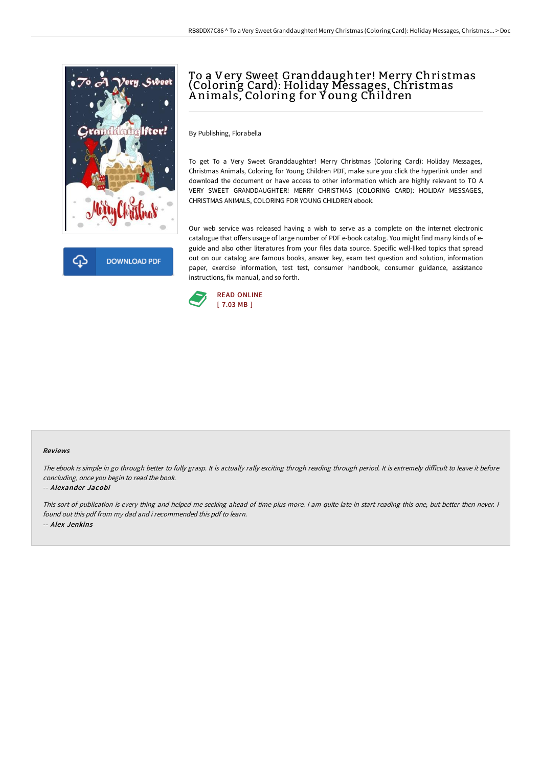

**DOWNLOAD PDF** 

# To a Very Sweet Granddaughter! Merry Christmas (Coloring Card): Holiday Messages, Christmas A nimals, Coloring for Y oung Children

By Publishing, Florabella

To get To a Very Sweet Granddaughter! Merry Christmas (Coloring Card): Holiday Messages, Christmas Animals, Coloring for Young Children PDF, make sure you click the hyperlink under and download the document or have access to other information which are highly relevant to TO A VERY SWEET GRANDDAUGHTER! MERRY CHRISTMAS (COLORING CARD): HOLIDAY MESSAGES, CHRISTMAS ANIMALS, COLORING FOR YOUNG CHILDREN ebook.

Our web service was released having a wish to serve as a complete on the internet electronic catalogue that offers usage of large number of PDF e-book catalog. You might find many kinds of eguide and also other literatures from your files data source. Specific well-liked topics that spread out on our catalog are famous books, answer key, exam test question and solution, information paper, exercise information, test test, consumer handbook, consumer guidance, assistance instructions, fix manual, and so forth.



#### Reviews

The ebook is simple in go through better to fully grasp. It is actually rally exciting throgh reading through period. It is extremely difficult to leave it before concluding, once you begin to read the book.

### -- Alexander Jacobi

This sort of publication is every thing and helped me seeking ahead of time plus more. <sup>I</sup> am quite late in start reading this one, but better then never. <sup>I</sup> found out this pdf from my dad and i recommended this pdf to learn. -- Alex Jenkins